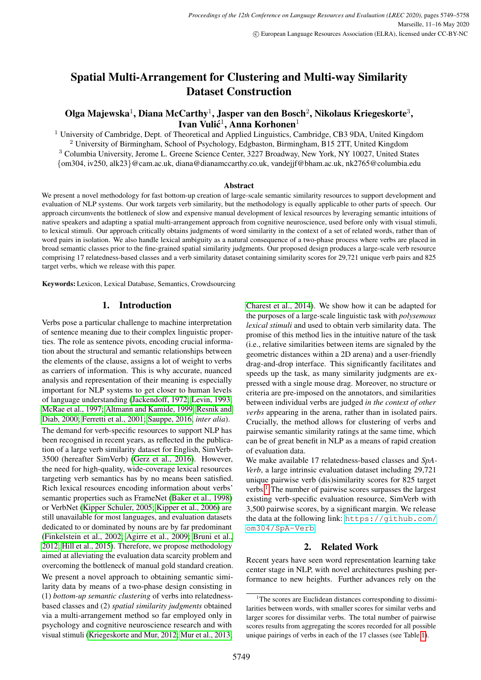# Spatial Multi-Arrangement for Clustering and Multi-way Similarity Dataset Construction

# Olga Majewska $^1$ , Diana McCarthy $^1$ , Jasper van den Bosch $^2$ , Nikolaus Kriegeskorte $^3$ , Ivan Vulić<sup>1</sup>, Anna Korhonen<sup>1</sup>

<sup>1</sup> University of Cambridge, Dept. of Theoretical and Applied Linguistics, Cambridge, CB3 9DA, United Kingdom <sup>2</sup> University of Birmingham, School of Psychology, Edgbaston, Birmingham, B15 2TT, United Kingdom <sup>3</sup> Columbia University, Jerome L. Greene Science Center, 3227 Broadway, New York, NY 10027, United States {om304, iv250, alk23}@cam.ac.uk, diana@dianamccarthy.co.uk, vandejjf@bham.ac.uk, nk2765@columbia.edu

#### Abstract

We present a novel methodology for fast bottom-up creation of large-scale semantic similarity resources to support development and evaluation of NLP systems. Our work targets verb similarity, but the methodology is equally applicable to other parts of speech. Our approach circumvents the bottleneck of slow and expensive manual development of lexical resources by leveraging semantic intuitions of native speakers and adapting a spatial multi-arrangement approach from cognitive neuroscience, used before only with visual stimuli, to lexical stimuli. Our approach critically obtains judgments of word similarity in the context of a set of related words, rather than of word pairs in isolation. We also handle lexical ambiguity as a natural consequence of a two-phase process where verbs are placed in broad semantic classes prior to the fine-grained spatial similarity judgments. Our proposed design produces a large-scale verb resource comprising 17 relatedness-based classes and a verb similarity dataset containing similarity scores for 29,721 unique verb pairs and 825 target verbs, which we release with this paper.

Keywords: Lexicon, Lexical Database, Semantics, Crowdsourcing

#### 1. Introduction

Verbs pose a particular challenge to machine interpretation of sentence meaning due to their complex linguistic properties. The role as sentence pivots, encoding crucial information about the structural and semantic relationships between the elements of the clause, assigns a lot of weight to verbs as carriers of information. This is why accurate, nuanced analysis and representation of their meaning is especially important for NLP systems to get closer to human levels of language understanding [\(Jackendoff, 1972;](#page-8-0) [Levin, 1993;](#page-8-1) [McRae et al., 1997;](#page-8-2) [Altmann and Kamide, 1999;](#page-7-0) [Resnik and](#page-8-3) [Diab, 2000;](#page-8-3) [Ferretti et al., 2001;](#page-7-1) [Sauppe, 2016,](#page-8-4) *inter alia*). The demand for verb-specific resources to support NLP has been recognised in recent years, as reflected in the publication of a large verb similarity dataset for English, SimVerb-3500 (hereafter SimVerb) [\(Gerz et al., 2016\)](#page-7-2). However, the need for high-quality, wide-coverage lexical resources targeting verb semantics has by no means been satisfied. Rich lexical resources encoding information about verbs' semantic properties such as FrameNet [\(Baker et al., 1998\)](#page-7-3) or VerbNet [\(Kipper Schuler, 2005;](#page-8-5) [Kipper et al., 2006\)](#page-8-6) are still unavailable for most languages, and evaluation datasets dedicated to or dominated by nouns are by far predominant [\(Finkelstein et al., 2002;](#page-7-4) [Agirre et al., 2009;](#page-7-5) [Bruni et al.,](#page-7-6) [2012;](#page-7-6) [Hill et al., 2015\)](#page-8-7). Therefore, we propose methodology aimed at alleviating the evaluation data scarcity problem and overcoming the bottleneck of manual gold standard creation.

We present a novel approach to obtaining semantic similarity data by means of a two-phase design consisting in (1) *bottom-up semantic clustering* of verbs into relatednessbased classes and (2) *spatial similarity judgments* obtained via a multi-arrangement method so far employed only in psychology and cognitive neuroscience research and with visual stimuli [\(Kriegeskorte and Mur, 2012;](#page-8-8) [Mur et al., 2013;](#page-8-9)

[Charest et al., 2014\)](#page-7-7). We show how it can be adapted for the purposes of a large-scale linguistic task with *polysemous lexical stimuli* and used to obtain verb similarity data. The promise of this method lies in the intuitive nature of the task (i.e., relative similarities between items are signaled by the geometric distances within a 2D arena) and a user-friendly drag-and-drop interface. This significantly facilitates and speeds up the task, as many similarity judgments are expressed with a single mouse drag. Moreover, no structure or criteria are pre-imposed on the annotators, and similarities between individual verbs are judged *in the context of other verbs* appearing in the arena, rather than in isolated pairs. Crucially, the method allows for clustering of verbs and pairwise semantic similarity ratings at the same time, which can be of great benefit in NLP as a means of rapid creation of evaluation data.

We make available 17 relatedness-based classes and *SpA-Verb*, a large intrinsic evaluation dataset including 29,721 unique pairwise verb (dis)similarity scores for 825 target verbs.<sup>[1](#page-0-0)</sup> The number of pairwise scores surpasses the largest existing verb-specific evaluation resource, SimVerb with 3,500 pairwise scores, by a significant margin. We release the data at the following link: [https://github.com/](https://github.com/om304/SpA-Verb) [om304/SpA-Verb](https://github.com/om304/SpA-Verb).

# 2. Related Work

Recent years have seen word representation learning take center stage in NLP, with novel architectures pushing performance to new heights. Further advances rely on the

<span id="page-0-0"></span><sup>&</sup>lt;sup>1</sup>The scores are Euclidean distances corresponding to dissimilarities between words, with smaller scores for similar verbs and larger scores for dissimilar verbs. The total number of pairwise scores results from aggregating the scores recorded for all possible unique pairings of verbs in each of the 17 classes (see Table [1\)](#page-4-0).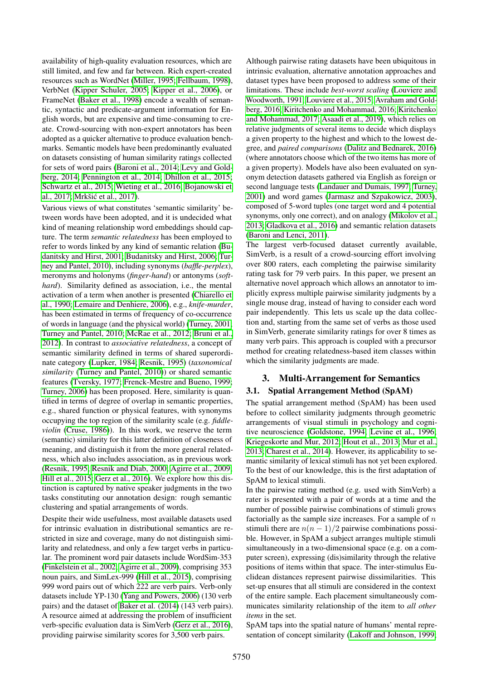availability of high-quality evaluation resources, which are still limited, and few and far between. Rich expert-created resources such as WordNet [\(Miller, 1995;](#page-8-10) [Fellbaum, 1998\)](#page-7-8), VerbNet [\(Kipper Schuler, 2005;](#page-8-5) [Kipper et al., 2006\)](#page-8-6), or FrameNet [\(Baker et al., 1998\)](#page-7-3) encode a wealth of semantic, syntactic and predicate-argument information for English words, but are expensive and time-consuming to create. Crowd-sourcing with non-expert annotators has been adopted as a quicker alternative to produce evaluation benchmarks. Semantic models have been predominantly evaluated on datasets consisting of human similarity ratings collected for sets of word pairs [\(Baroni et al., 2014;](#page-7-9) [Levy and Gold](#page-8-11)[berg, 2014;](#page-8-11) [Pennington et al., 2014;](#page-8-12) [Dhillon et al., 2015;](#page-7-10) [Schwartz et al., 2015;](#page-8-13) [Wieting et al., 2016;](#page-9-0) [Bojanowski et](#page-7-11) [al., 2017;](#page-7-11) Mrkšić et al., 2017).

Various views of what constitutes 'semantic similarity' between words have been adopted, and it is undecided what kind of meaning relationship word embeddings should capture. The term *semantic relatedness* has been employed to refer to words linked by any kind of semantic relation [\(Bu](#page-7-12)[danitsky and Hirst, 2001;](#page-7-12) [Budanitsky and Hirst, 2006;](#page-7-13) [Tur](#page-9-1)[ney and Pantel, 2010\)](#page-9-1), including synonyms (*baffle-perplex*), meronyms and holonyms (*finger-hand*) or antonyms (*softhard*). Similarity defined as association, i.e., the mental activation of a term when another is presented [\(Chiarello et](#page-7-14) [al., 1990;](#page-7-14) [Lemaire and Denhiere, 2006\)](#page-8-15), e.g., *knife-murder*, has been estimated in terms of frequency of co-occurrence of words in language (and the physical world) [\(Turney, 2001;](#page-9-2) [Turney and Pantel, 2010;](#page-9-1) [McRae et al., 2012;](#page-8-16) [Bruni et al.,](#page-7-6) [2012\)](#page-7-6). In contrast to *associative relatedness*, a concept of semantic similarity defined in terms of shared superordinate category [\(Lupker, 1984;](#page-8-17) [Resnik, 1995\)](#page-8-18) (*taxonomical similarity* [\(Turney and Pantel, 2010\)](#page-9-1)) or shared semantic features [\(Tversky, 1977;](#page-9-3) [Frenck-Mestre and Bueno, 1999;](#page-7-15) [Turney, 2006\)](#page-9-4) has been proposed. Here, similarity is quantified in terms of degree of overlap in semantic properties, e.g., shared function or physical features, with synonyms occupying the top region of the similarity scale (e.g. *fiddleviolin* [\(Cruse, 1986\)](#page-7-16)). In this work, we reserve the term (semantic) similarity for this latter definition of closeness of meaning, and distinguish it from the more general relatedness, which also includes association, as in previous work [\(Resnik, 1995;](#page-8-18) [Resnik and Diab, 2000;](#page-8-3) [Agirre et al., 2009;](#page-7-5) [Hill et al., 2015;](#page-8-7) [Gerz et al., 2016\)](#page-7-2). We explore how this distinction is captured by native speaker judgments in the two tasks constituting our annotation design: rough semantic clustering and spatial arrangements of words.

Despite their wide usefulness, most available datasets used for intrinsic evaluation in distributional semantics are restricted in size and coverage, many do not distinguish similarity and relatedness, and only a few target verbs in particular. The prominent word pair datasets include WordSim-353 [\(Finkelstein et al., 2002;](#page-7-4) [Agirre et al., 2009\)](#page-7-5), comprising 353 noun pairs, and SimLex-999 [\(Hill et al., 2015\)](#page-8-7), comprising 999 word pairs out of which 222 are verb pairs. Verb-only datasets include YP-130 [\(Yang and Powers, 2006\)](#page-9-5) (130 verb pairs) and the dataset of [Baker et al. \(2014\)](#page-7-17) (143 verb pairs). A resource aimed at addressing the problem of insufficient verb-specific evaluation data is SimVerb [\(Gerz et al., 2016\)](#page-7-2), providing pairwise similarity scores for 3,500 verb pairs.

Although pairwise rating datasets have been ubiquitous in intrinsic evaluation, alternative annotation approaches and dataset types have been proposed to address some of their limitations. These include *best-worst scaling* [\(Louviere and](#page-8-19) [Woodworth, 1991;](#page-8-19) [Louviere et al., 2015;](#page-8-20) [Avraham and Gold](#page-7-18)[berg, 2016;](#page-7-18) [Kiritchenko and Mohammad, 2016;](#page-8-21) [Kiritchenko](#page-8-22) [and Mohammad, 2017;](#page-8-22) [Asaadi et al., 2019\)](#page-7-19), which relies on relative judgments of several items to decide which displays a given property to the highest and which to the lowest degree, and *paired comparisons* [\(Dalitz and Bednarek, 2016\)](#page-7-20) (where annotators choose which of the two items has more of a given property). Models have also been evaluated on synonym detection datasets gathered via English as foreign or second language tests [\(Landauer and Dumais, 1997;](#page-8-23) [Turney,](#page-9-2) [2001\)](#page-9-2) and word games [\(Jarmasz and Szpakowicz, 2003\)](#page-8-24), composed of 5-word tuples (one target word and 4 potential synonyms, only one correct), and on analogy [\(Mikolov et al.,](#page-8-25) [2013;](#page-8-25) [Gladkova et al., 2016\)](#page-7-21) and semantic relation datasets [\(Baroni and Lenci, 2011\)](#page-7-22).

The largest verb-focused dataset currently available, SimVerb, is a result of a crowd-sourcing effort involving over 800 raters, each completing the pairwise similarity rating task for 79 verb pairs. In this paper, we present an alternative novel approach which allows an annotator to implicitly express multiple pairwise similarity judgments by a single mouse drag, instead of having to consider each word pair independently. This lets us scale up the data collection and, starting from the same set of verbs as those used in SimVerb, generate similarity ratings for over 8 times as many verb pairs. This approach is coupled with a precursor method for creating relatedness-based item classes within which the similarity judgments are made.

# 3. Multi-Arrangement for Semantics

# <span id="page-1-0"></span>3.1. Spatial Arrangement Method (SpAM)

The spatial arrangement method (SpAM) has been used before to collect similarity judgments through geometric arrangements of visual stimuli in psychology and cognitive neuroscience [\(Goldstone, 1994;](#page-8-26) [Levine et al., 1996;](#page-8-27) [Kriegeskorte and Mur, 2012;](#page-8-8) [Hout et al., 2013;](#page-8-28) [Mur et al.,](#page-8-9) [2013;](#page-8-9) [Charest et al., 2014\)](#page-7-7). However, its applicability to semantic similarity of lexical stimuli has not yet been explored. To the best of our knowledge, this is the first adaptation of SpAM to lexical stimuli.

In the pairwise rating method (e.g. used with SimVerb) a rater is presented with a pair of words at a time and the number of possible pairwise combinations of stimuli grows factorially as the sample size increases. For a sample of  $n$ stimuli there are  $n(n-1)/2$  pairwise combinations possible. However, in SpAM a subject arranges multiple stimuli simultaneously in a two-dimensional space (e.g. on a computer screen), expressing (dis)similarity through the relative positions of items within that space. The inter-stimulus Euclidean distances represent pairwise dissimilarities. This set-up ensures that all stimuli are considered in the context of the entire sample. Each placement simultaneously communicates similarity relationship of the item to *all other items* in the set.

SpAM taps into the spatial nature of humans' mental representation of concept similarity [\(Lakoff and Johnson, 1999;](#page-8-29)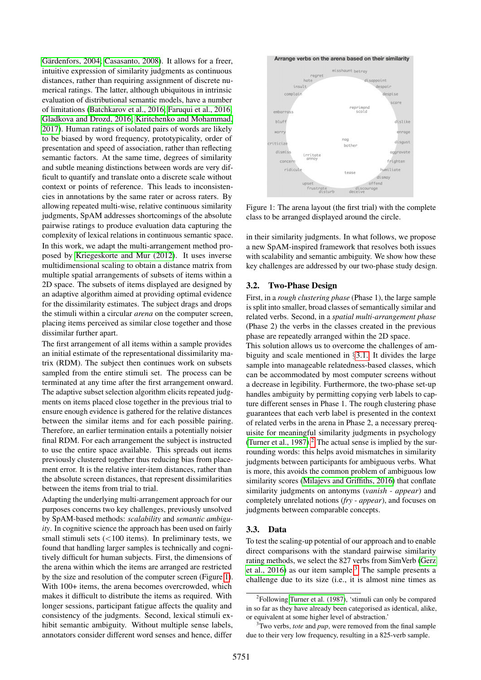Gärdenfors, 2004; [Casasanto, 2008\)](#page-7-24). It allows for a freer, intuitive expression of similarity judgments as continuous distances, rather than requiring assignment of discrete numerical ratings. The latter, although ubiquitous in intrinsic evaluation of distributional semantic models, have a number of limitations [\(Batchkarov et al., 2016;](#page-7-25) [Faruqui et al., 2016;](#page-7-26) [Gladkova and Drozd, 2016;](#page-7-27) [Kiritchenko and Mohammad,](#page-8-22) [2017\)](#page-8-22). Human ratings of isolated pairs of words are likely to be biased by word frequency, prototypicality, order of presentation and speed of association, rather than reflecting semantic factors. At the same time, degrees of similarity and subtle meaning distinctions between words are very difficult to quantify and translate onto a discrete scale without context or points of reference. This leads to inconsistencies in annotations by the same rater or across raters. By allowing repeated multi-wise, relative continuous similarity judgments, SpAM addresses shortcomings of the absolute pairwise ratings to produce evaluation data capturing the complexity of lexical relations in continuous semantic space. In this work, we adapt the multi-arrangement method proposed by [Kriegeskorte and Mur \(2012\)](#page-8-8). It uses inverse multidimensional scaling to obtain a distance matrix from multiple spatial arrangements of subsets of items within a 2D space. The subsets of items displayed are designed by an adaptive algorithm aimed at providing optimal evidence for the dissimilarity estimates. The subject drags and drops the stimuli within a circular *arena* on the computer screen, placing items perceived as similar close together and those dissimilar further apart.

The first arrangement of all items within a sample provides an initial estimate of the representational dissimilarity matrix (RDM). The subject then continues work on subsets sampled from the entire stimuli set. The process can be terminated at any time after the first arrangement onward. The adaptive subset selection algorithm elicits repeated judgments on items placed close together in the previous trial to ensure enough evidence is gathered for the relative distances between the similar items and for each possible pairing. Therefore, an earlier termination entails a potentially noisier final RDM. For each arrangement the subject is instructed to use the entire space available. This spreads out items previously clustered together thus reducing bias from placement error. It is the relative inter-item distances, rather than the absolute screen distances, that represent dissimilarities between the items from trial to trial.

Adapting the underlying multi-arrangement approach for our purposes concerns two key challenges, previously unsolved by SpAM-based methods: *scalability* and *semantic ambiguity*. In cognitive science the approach has been used on fairly small stimuli sets  $\left($  < 100 items). In preliminary tests, we found that handling larger samples is technically and cognitively difficult for human subjects. First, the dimensions of the arena within which the items are arranged are restricted by the size and resolution of the computer screen (Figure [1\)](#page-2-0). With 100+ items, the arena becomes overcrowded, which makes it difficult to distribute the items as required. With longer sessions, participant fatigue affects the quality and consistency of the judgments. Second, lexical stimuli exhibit semantic ambiguity. Without multiple sense labels, annotators consider different word senses and hence, differ



<span id="page-2-0"></span>Figure 1: The arena layout (the first trial) with the complete class to be arranged displayed around the circle.

in their similarity judgments. In what follows, we propose a new SpAM-inspired framework that resolves both issues with scalability and semantic ambiguity. We show how these key challenges are addressed by our two-phase study design.

#### 3.2. Two-Phase Design

First, in a *rough clustering phase* (Phase 1), the large sample is split into smaller, broad classes of semantically similar and related verbs. Second, in a *spatial multi-arrangement phase* (Phase 2) the verbs in the classes created in the previous phase are repeatedly arranged within the 2D space.

This solution allows us to overcome the challenges of ambiguity and scale mentioned in §[3.1.](#page-1-0) It divides the large sample into manageable relatedness-based classes, which can be accommodated by most computer screens without a decrease in legibility. Furthermore, the two-phase set-up handles ambiguity by permitting copying verb labels to capture different senses in Phase 1. The rough clustering phase guarantees that each verb label is presented in the context of related verbs in the arena in Phase 2, a necessary prerequisite for meaningful similarity judgments in psychology (Turner et al.,  $1987$ ).<sup>[2](#page-2-1)</sup> The actual sense is implied by the surrounding words: this helps avoid mismatches in similarity judgments between participants for ambiguous verbs. What is more, this avoids the common problem of ambiguous low similarity scores [\(Milajevs and Griffiths, 2016\)](#page-8-31) that conflate similarity judgments on antonyms (*vanish - appear*) and completely unrelated notions (*fry - appear*), and focuses on judgments between comparable concepts.

#### 3.3. Data

To test the scaling-up potential of our approach and to enable direct comparisons with the standard pairwise similarity rating methods, we select the 827 verbs from SimVerb [\(Gerz](#page-7-2) et al.,  $2016$ ) as our item sample.<sup>[3](#page-2-2)</sup> The sample presents a challenge due to its size (i.e., it is almost nine times as

<span id="page-2-1"></span><sup>&</sup>lt;sup>2</sup>Following [Turner et al. \(1987\)](#page-8-30), 'stimuli can only be compared in so far as they have already been categorised as identical, alike, or equivalent at some higher level of abstraction.'

<span id="page-2-2"></span><sup>3</sup>Two verbs, *tote* and *pup*, were removed from the final sample due to their very low frequency, resulting in a 825-verb sample.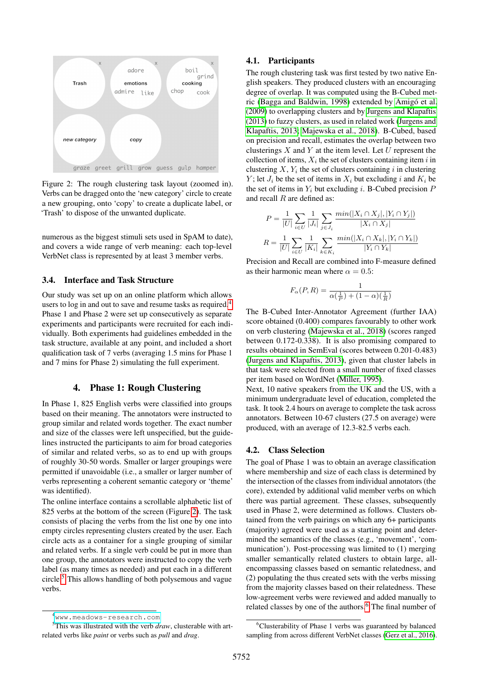

<span id="page-3-1"></span>Figure 2: The rough clustering task layout (zoomed in). Verbs can be dragged onto the 'new category' circle to create a new grouping, onto 'copy' to create a duplicate label, or 'Trash' to dispose of the unwanted duplicate.

numerous as the biggest stimuli sets used in SpAM to date), and covers a wide range of verb meaning: each top-level VerbNet class is represented by at least 3 member verbs.

# 3.4. Interface and Task Structure

Our study was set up on an online platform which allows users to log in and out to save and resume tasks as required.<sup>[4](#page-3-0)</sup> Phase 1 and Phase 2 were set up consecutively as separate experiments and participants were recruited for each individually. Both experiments had guidelines embedded in the task structure, available at any point, and included a short qualification task of 7 verbs (averaging 1.5 mins for Phase 1 and 7 mins for Phase 2) simulating the full experiment.

# 4. Phase 1: Rough Clustering

In Phase 1, 825 English verbs were classified into groups based on their meaning. The annotators were instructed to group similar and related words together. The exact number and size of the classes were left unspecified, but the guidelines instructed the participants to aim for broad categories of similar and related verbs, so as to end up with groups of roughly 30-50 words. Smaller or larger groupings were permitted if unavoidable (i.e., a smaller or larger number of verbs representing a coherent semantic category or 'theme' was identified).

The online interface contains a scrollable alphabetic list of 825 verbs at the bottom of the screen (Figure [2\)](#page-3-1). The task consists of placing the verbs from the list one by one into empty circles representing clusters created by the user. Each circle acts as a container for a single grouping of similar and related verbs. If a single verb could be put in more than one group, the annotators were instructed to copy the verb label (as many times as needed) and put each in a different circle.[5](#page-3-2) This allows handling of both polysemous and vague verbs.

#### 4.1. Participants

The rough clustering task was first tested by two native English speakers. They produced clusters with an encouraging degree of overlap. It was computed using the B-Cubed metric [\(Bagga and Baldwin, 1998\)](#page-7-28) extended by [Amigo et al.](#page-7-29) ´ [\(2009\)](#page-7-29) to overlapping clusters and by [Jurgens and Klapaftis](#page-8-32) [\(2013\)](#page-8-32) to fuzzy clusters, as used in related work [\(Jurgens and](#page-8-32) [Klapaftis, 2013;](#page-8-32) [Majewska et al., 2018\)](#page-8-33). B-Cubed, based on precision and recall, estimates the overlap between two clusterings  $X$  and  $Y$  at the item level. Let  $U$  represent the collection of items,  $X_i$  the set of clusters containing item i in clustering  $X, Y_i$  the set of clusters containing i in clustering Y; let  $J_i$  be the set of items in  $X_i$  but excluding i and  $K_i$  be the set of items in  $Y_i$  but excluding i. B-Cubed precision  $P$ and recall R are defined as:

$$
P = \frac{1}{|U|} \sum_{i \in U} \frac{1}{|J_i|} \sum_{j \in J_i} \frac{\min(|X_i \cap X_j|, |Y_i \cap Y_j|)}{|X_i \cap X_j|}
$$

$$
R = \frac{1}{|U|} \sum_{i \in U} \frac{1}{|K_i|} \sum_{k \in K_i} \frac{\min(|X_i \cap X_k|, |Y_i \cap Y_k|)}{|Y_i \cap Y_k|}
$$

Precision and Recall are combined into F-measure defined as their harmonic mean where  $\alpha = 0.5$ :

$$
F_{\alpha}(P,R) = \frac{1}{\alpha(\frac{1}{P}) + (1-\alpha)(\frac{1}{R})}
$$

The B-Cubed Inter-Annotator Agreement (further IAA) score obtained (0.400) compares favourably to other work on verb clustering [\(Majewska et al., 2018\)](#page-8-33) (scores ranged between 0.172-0.338). It is also promising compared to results obtained in SemEval (scores between 0.201-0.483) [\(Jurgens and Klapaftis, 2013\)](#page-8-32), given that cluster labels in that task were selected from a small number of fixed classes per item based on WordNet [\(Miller, 1995\)](#page-8-10).

Next, 10 native speakers from the UK and the US, with a minimum undergraduate level of education, completed the task. It took 2.4 hours on average to complete the task across annotators. Between 10-67 clusters (27.5 on average) were produced, with an average of 12.3-82.5 verbs each.

#### 4.2. Class Selection

The goal of Phase 1 was to obtain an average classification where membership and size of each class is determined by the intersection of the classes from individual annotators (the core), extended by additional valid member verbs on which there was partial agreement. These classes, subsequently used in Phase 2, were determined as follows. Clusters obtained from the verb pairings on which any 6+ participants (majority) agreed were used as a starting point and determined the semantics of the classes (e.g., 'movement', 'communication'). Post-processing was limited to (1) merging smaller semantically related clusters to obtain large, allencompassing classes based on semantic relatedness, and (2) populating the thus created sets with the verbs missing from the majority classes based on their relatedness. These low-agreement verbs were reviewed and added manually to related classes by one of the authors.<sup>[6](#page-3-3)</sup> The final number of

<span id="page-3-2"></span><span id="page-3-0"></span><sup>4</sup><www.meadows-research.com>

<sup>5</sup>This was illustrated with the verb *draw*, clusterable with artrelated verbs like *paint* or verbs such as *pull* and *drag*.

<span id="page-3-3"></span><sup>&</sup>lt;sup>6</sup>Clusterability of Phase 1 verbs was guaranteed by balanced sampling from across different VerbNet classes [\(Gerz et al., 2016\)](#page-7-2).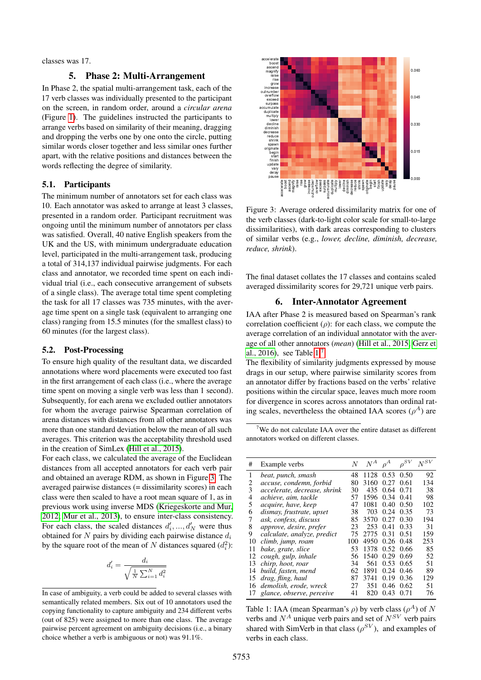classes was 17.

# 5. Phase 2: Multi-Arrangement

In Phase 2, the spatial multi-arrangement task, each of the 17 verb classes was individually presented to the participant on the screen, in random order, around a *circular arena* (Figure [1\)](#page-2-0). The guidelines instructed the participants to arrange verbs based on similarity of their meaning, dragging and dropping the verbs one by one onto the circle, putting similar words closer together and less similar ones further apart, with the relative positions and distances between the words reflecting the degree of similarity.

#### 5.1. Participants

The minimum number of annotators set for each class was 10. Each annotator was asked to arrange at least 3 classes, presented in a random order. Participant recruitment was ongoing until the minimum number of annotators per class was satisfied. Overall, 40 native English speakers from the UK and the US, with minimum undergraduate education level, participated in the multi-arrangement task, producing a total of 314,137 individual pairwise judgments. For each class and annotator, we recorded time spent on each individual trial (i.e., each consecutive arrangement of subsets of a single class). The average total time spent completing the task for all 17 classes was 735 minutes, with the average time spent on a single task (equivalent to arranging one class) ranging from 15.5 minutes (for the smallest class) to 60 minutes (for the largest class). **5.1. Participants** or not the masked to acrease the reach class was seed to acrease when the verb is a very series of the same and test 3 classes, respected in a random order. Participant recruitment was stand to accompa

## 5.2. Post-Processing

To ensure high quality of the resultant data, we discarded annotations where word placements were executed too fast in the first arrangement of each class (i.e., where the average time spent on moving a single verb was less than 1 second). Subsequently, for each arena we excluded outlier annotators for whom the average pairwise Spearman correlation of arena distances with distances from all other annotators was more than one standard deviation below the mean of all such averages. This criterion was the acceptability threshold used in the creation of SimLex [\(Hill et al., 2015\)](#page-8-7).

For each class, we calculated the average of the Euclidean distances from all accepted annotators for each verb pair and obtained an average RDM, as shown in Figure [3.](#page-4-1) The averaged pairwise distances (= dissimilarity scores) in each class were then scaled to have a root mean square of 1, as in previous work using inverse MDS [\(Kriegeskorte and Mur,](#page-8-8) [2012;](#page-8-8) [Mur et al., 2013\)](#page-8-9), to ensure inter-class consistency. For each class, the scaled distances  $d'_i, ..., d'_N$  were thus obtained for  $N$  pairs by dividing each pairwise distance  $d_i$ by the square root of the mean of N distances squared  $(d_i^2)$ :

$$
d_i' = \frac{d_i}{\sqrt{\frac{1}{N} \sum_{i=1}^N d_i^2}}
$$



<span id="page-4-1"></span>Figure 3: Average ordered dissimilarity matrix for one of the verb classes (dark-to-light color scale for small-to-large dissimilarities), with dark areas corresponding to clusters of similar verbs (e.g., *lower, decline, diminish, decrease, reduce, shrink*).

The final dataset collates the 17 classes and contains scaled averaged dissimilarity scores for 29,721 unique verb pairs.

#### 6. Inter-Annotator Agreement

IAA after Phase 2 is measured based on Spearman's rank correlation coefficient  $(\rho)$ : for each class, we compute the average correlation of an individual annotator with the average of all other annotators (*mean*) [\(Hill et al., 2015;](#page-8-7) [Gerz et](#page-7-2) [al., 2016\)](#page-7-2), see Table  $1.^{7}$  $1.^{7}$  $1.^{7}$ 

The flexibility of similarity judgments expressed by mouse drags in our setup, where pairwise similarity scores from an annotator differ by fractions based on the verbs' relative positions within the circular space, leaves much more room for divergence in scores across annotators than ordinal rating scales, nevertheless the obtained IAA scores  $(\rho^A)$  are

<span id="page-4-2"></span> $7$ We do not calculate IAA over the entire dataset as different annotators worked on different classes.

| #  | Example verbs                | $N_{-}$ | $N^A$ | $\rho^A$ | $\rho^{SV}$ | $N^{SV}$ |
|----|------------------------------|---------|-------|----------|-------------|----------|
| 1  | beat, punch, smash           | 48      | 1128  | $0.53 -$ | 0.50        | 92       |
| 2  | accuse, condemn, forbid      | 80      | 3160  | 0.27     | 0.61        | 134      |
| 3  | accelerate, decrease, shrink | 30      | 435   | 0.64     | 0.71        | 38       |
| 4  | achieve, aim, tackle         | 57      | 1596  | 0.34     | 0.41        | 98       |
| 5  | acquire, have, keep          | 47      | 1081  | 0.40     | 0.50        | 102      |
| 6  | dismay, frustrate, upset     | 38      | 703   | 0.24     | 0.35        | 73       |
| 7  | ask, confess, discuss        | 85      | 3570  | 0.27     | 0.30        | 194      |
| 8  | approve, desire, prefer      | 23      | 253   | 0.41     | 0.33        | 31       |
| 9  | calculate, analyze, predict  | 75      | 2775  | 0.31     | 0.51        | 159      |
| 10 | climb, jump, roam            | 100     | 4950  | 0.26     | 0.48        | 253      |
| 11 | bake, grate, slice           | 53      | 1378  | 0.52     | 0.66        | 85       |
| 12 | cough, gulp, inhale          | 56      | 1540  | 0.29     | 0.69        | 52       |
| 13 | chirp, hoot, roar            | 34      | 561   | 0.53     | 0.65        | 51       |
| 14 | build, fasten, mend          | 62      | 1891. | 0.24     | 0.46        | 89       |
| 15 | drag, fling, haul            | 87      | 3741  | 0.19     | 0.36        | 129      |
|    | 16 demolish, erode, wreck    | 27      | 351   | 0.46     | 0.62        | 51       |
|    | 17 glance, observe, perceive | 41      | 820   | 0.43     | 0.71        | 76       |

<span id="page-4-0"></span>Table 1: IAA (mean Spearman's  $\rho$ ) by verb class ( $\rho^A$ ) of N verbs and  $N^A$  unique verb pairs and set of  $N^{SV}$  verb pairs shared with SimVerb in that class  $(\rho^{SV})$ , and examples of verbs in each class.

In case of ambiguity, a verb could be added to several classes with semantically related members. Six out of 10 annotators used the copying functionality to capture ambiguity and 234 different verbs (out of 825) were assigned to more than one class. The average pairwise percent agreement on ambiguity decisions (i.e., a binary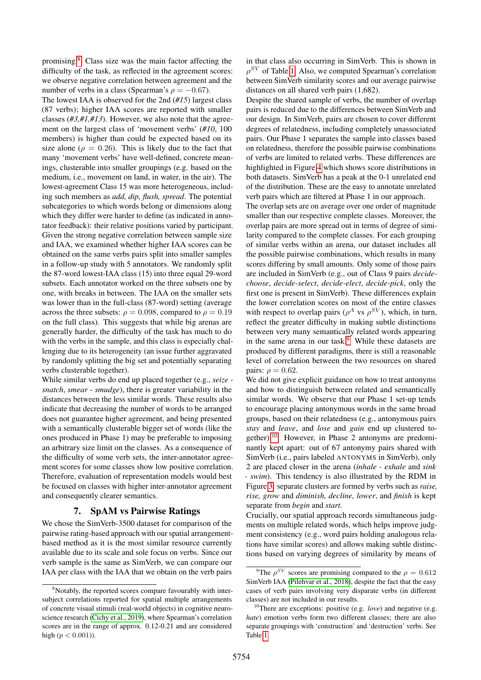promising.[8](#page-5-0) Class size was the main factor affecting the difficulty of the task, as reflected in the agreement scores: we observe negative correlation between agreement and the number of verbs in a class (Spearman's  $\rho = -0.67$ ).

The lowest IAA is observed for the 2nd (*#15*) largest class (87 verbs); higher IAA scores are reported with smaller classes (*#3,#1,#13*). However, we also note that the agreement on the largest class of 'movement verbs' (*#10*, 100 members) is higher than could be expected based on its size alone ( $\rho = 0.26$ ). This is likely due to the fact that many 'movement verbs' have well-defined, concrete meanings, clusterable into smaller groupings (e.g. based on the medium, i.e., movement on land, in water, in the air). The lowest-agreement Class 15 was more heterogeneous, including such members as *add, dip, flush, spread*. The potential subcategories to which words belong or dimensions along which they differ were harder to define (as indicated in annotator feedback): their relative positions varied by participant. Given the strong negative correlation between sample size and IAA, we examined whether higher IAA scores can be obtained on the same verbs pairs split into smaller samples in a follow-up study with 5 annotators. We randomly split the 87-word lowest-IAA class (15) into three equal 29-word subsets. Each annotator worked on the three subsets one by one, with breaks in between. The IAA on the smaller sets was lower than in the full-class (87-word) setting (average across the three subsets:  $\rho = 0.098$ , compared to  $\rho = 0.19$ on the full class). This suggests that while big arenas are generally harder, the difficulty of the task has much to do with the verbs in the sample, and this class is especially challenging due to its heterogeneity (an issue further aggravated by randomly splitting the big set and potentially separating verbs clusterable together).

While similar verbs do end up placed together (e.g., *seize snatch*, *smear* - *smudge*), there is greater variability in the distances between the less similar words. These results also indicate that decreasing the number of words to be arranged does not guarantee higher agreement, and being presented with a semantically clusterable bigger set of words (like the ones produced in Phase 1) may be preferable to imposing an arbitrary size limit on the classes. As a consequence of the difficulty of some verb sets, the inter-annotator agreement scores for some classes show low positive correlation. Therefore, evaluation of representation models would best be focused on classes with higher inter-annotator agreement and consequently clearer semantics.

## 7. SpAM vs Pairwise Ratings

We chose the SimVerb-3500 dataset for comparison of the pairwise rating-based approach with our spatial arrangementbased method as it is the most similar resource currently available due to its scale and sole focus on verbs. Since our verb sample is the same as SimVerb, we can compare our IAA per class with the IAA that we obtain on the verb pairs

in that class also occurring in SimVerb. This is shown in  $\rho^{SV}$  of Table [1.](#page-4-0) Also, we computed Spearman's correlation between SimVerb similarity scores and our average pairwise distances on all shared verb pairs (1,682).

Despite the shared sample of verbs, the number of overlap pairs is reduced due to the differences between SimVerb and our design. In SimVerb, pairs are chosen to cover different degrees of relatedness, including completely unassociated pairs. Our Phase 1 separates the sample into classes based on relatedness, therefore the possible pairwise combinations of verbs are limited to related verbs. These differences are highlighted in Figure [4](#page-6-0) which shows score distributions in both datasets. SimVerb has a peak at the 0-1 unrelated end of the distribution. These are the easy to annotate unrelated verb pairs which are filtered at Phase 1 in our approach.

The overlap sets are on average over one order of magnitude smaller than our respective complete classes. Moreover, the overlap pairs are more spread out in terms of degree of similarity compared to the complete classes. For each grouping of similar verbs within an arena, our dataset includes all the possible pairwise combinations, which results in many scores differing by small amounts. Only some of those pairs are included in SimVerb (e.g., out of Class 9 pairs *decidechoose*, *decide-select*, *decide-elect*, *decide-pick*, only the first one is present in SimVerb). These differences explain the lower correlation scores on most of the entire classes with respect to overlap pairs ( $\rho^A$  vs  $\rho^{SV}$ ), which, in turn, reflect the greater difficulty in making subtle distinctions between very many semantically related words appearing in the same arena in our task.<sup>[9](#page-5-1)</sup> While these datasets are produced by different paradigms, there is still a reasonable level of correlation between the two resources on shared pairs:  $\rho = 0.62$ .

We did not give explicit guidance on how to treat antonyms and how to distinguish between related and semantically similar words. We observe that our Phase 1 set-up tends to encourage placing antonymous words in the same broad groups, based on their relatedness (e.g., antonymous pairs *stay* and *leave*, and *lose* and *gain* end up clustered together).[10](#page-5-2) However, in Phase 2 antonyms are predominantly kept apart: out of 67 antonymy pairs shared with SimVerb (i.e., pairs labeled ANTONYMS in SimVerb), only 2 are placed closer in the arena (*inhale - exhale* and *sink - swim*). This tendency is also illustrated by the RDM in Figure [3:](#page-4-1) separate clusters are formed by verbs such as *raise, rise, grow* and *diminish, decline, lower*, and *finish* is kept separate from *begin* and *start*.

Crucially, our spatial approach records simultaneous judgments on multiple related words, which helps improve judgment consistency (e.g., word pairs holding analogous relations have similar scores) and allows making subtle distinctions based on varying degrees of similarity by means of

<span id="page-5-0"></span><sup>&</sup>lt;sup>8</sup>Notably, the reported scores compare favourably with intersubject correlations reported for spatial multiple arrangements of concrete visual stimuli (real-world objects) in cognitive neuroscience research [\(Cichy et al., 2019\)](#page-7-30), where Spearman's correlation scores are in the range of approx. 0.12-0.21 and are considered high ( $p < 0.001$ )).

<span id="page-5-1"></span><sup>&</sup>lt;sup>9</sup>The  $\rho^{SV}$  scores are promising compared to the  $\rho = 0.612$ SimVerb IAA [\(Pilehvar et al., 2018\)](#page-8-34), despite the fact that the easy cases of verb pairs involving very disparate verbs (in different classes) are not included in our results.

<span id="page-5-2"></span><sup>&</sup>lt;sup>10</sup>There are exceptions: positive (e.g. *love*) and negative (e.g. *hate*) emotion verbs form two different classes; there are also separate groupings with 'construction' and 'destruction' verbs. See Table [1.](#page-4-0)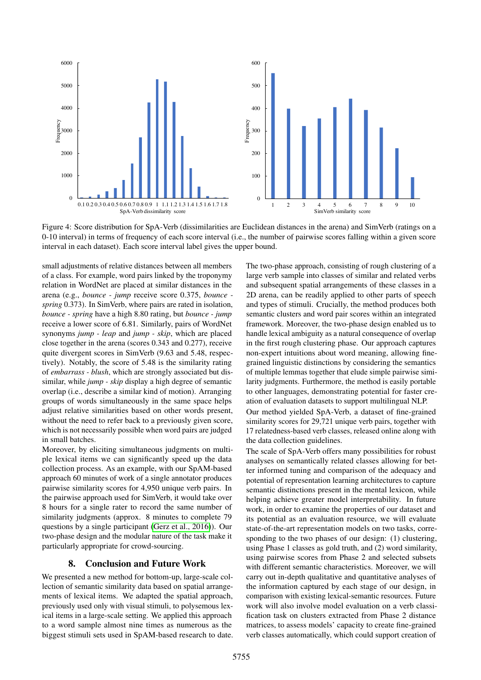

<span id="page-6-0"></span>Figure 4: Score distribution for SpA-Verb (dissimilarities are Euclidean distances in the arena) and SimVerb (ratings on a 0-10 interval) in terms of frequency of each score interval (i.e., the number of pairwise scores falling within a given score interval in each dataset). Each score interval label gives the upper bound.

small adjustments of relative distances between all members of a class. For example, word pairs linked by the troponymy relation in WordNet are placed at similar distances in the arena (e.g., *bounce - jump* receive score 0.375, *bounce spring* 0.373). In SimVerb, where pairs are rated in isolation, *bounce - spring* have a high 8.80 rating, but *bounce - jump* receive a lower score of 6.81. Similarly, pairs of WordNet synonyms *jump - leap* and *jump - skip*, which are placed close together in the arena (scores 0.343 and 0.277), receive quite divergent scores in SimVerb (9.63 and 5.48, respectively). Notably, the score of 5.48 is the similarity rating of *embarrass - blush*, which are strongly associated but dissimilar, while *jump - skip* display a high degree of semantic overlap (i.e., describe a similar kind of motion). Arranging groups of words simultaneously in the same space helps adjust relative similarities based on other words present, without the need to refer back to a previously given score, which is not necessarily possible when word pairs are judged in small batches.

Moreover, by eliciting simultaneous judgments on multiple lexical items we can significantly speed up the data collection process. As an example, with our SpAM-based approach 60 minutes of work of a single annotator produces pairwise similarity scores for 4,950 unique verb pairs. In the pairwise approach used for SimVerb, it would take over 8 hours for a single rater to record the same number of similarity judgments (approx. 8 minutes to complete 79 questions by a single participant [\(Gerz et al., 2016\)](#page-7-2)). Our two-phase design and the modular nature of the task make it particularly appropriate for crowd-sourcing.

# 8. Conclusion and Future Work

We presented a new method for bottom-up, large-scale collection of semantic similarity data based on spatial arrangements of lexical items. We adapted the spatial approach, previously used only with visual stimuli, to polysemous lexical items in a large-scale setting. We applied this approach to a word sample almost nine times as numerous as the biggest stimuli sets used in SpAM-based research to date.

The two-phase approach, consisting of rough clustering of a large verb sample into classes of similar and related verbs and subsequent spatial arrangements of these classes in a 2D arena, can be readily applied to other parts of speech and types of stimuli. Crucially, the method produces both semantic clusters and word pair scores within an integrated framework. Moreover, the two-phase design enabled us to handle lexical ambiguity as a natural consequence of overlap in the first rough clustering phase. Our approach captures non-expert intuitions about word meaning, allowing finegrained linguistic distinctions by considering the semantics of multiple lemmas together that elude simple pairwise similarity judgments. Furthermore, the method is easily portable to other languages, demonstrating potential for faster creation of evaluation datasets to support multilingual NLP. Our method yielded SpA-Verb, a dataset of fine-grained similarity scores for 29,721 unique verb pairs, together with 17 relatedness-based verb classes, released online along with the data collection guidelines.

The scale of SpA-Verb offers many possibilities for robust analyses on semantically related classes allowing for better informed tuning and comparison of the adequacy and potential of representation learning architectures to capture semantic distinctions present in the mental lexicon, while helping achieve greater model interpretability. In future work, in order to examine the properties of our dataset and its potential as an evaluation resource, we will evaluate state-of-the-art representation models on two tasks, corresponding to the two phases of our design: (1) clustering, using Phase 1 classes as gold truth, and (2) word similarity, using pairwise scores from Phase 2 and selected subsets with different semantic characteristics. Moreover, we will carry out in-depth qualitative and quantitative analyses of the information captured by each stage of our design, in comparison with existing lexical-semantic resources. Future work will also involve model evaluation on a verb classification task on clusters extracted from Phase 2 distance matrices, to assess models' capacity to create fine-grained verb classes automatically, which could support creation of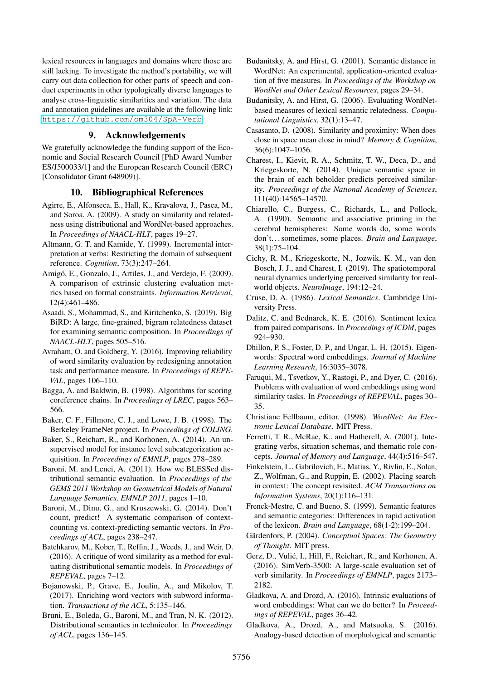lexical resources in languages and domains where those are still lacking. To investigate the method's portability, we will carry out data collection for other parts of speech and conduct experiments in other typologically diverse languages to analyse cross-linguistic similarities and variation. The data and annotation guidelines are available at the following link: <https://github.com/om304/SpA-Verb>.

# 9. Acknowledgements

We gratefully acknowledge the funding support of the Economic and Social Research Council [PhD Award Number ES/J500033/1] and the European Research Council (ERC) [Consolidator Grant 648909)].

# 10. Bibliographical References

- <span id="page-7-5"></span>Agirre, E., Alfonseca, E., Hall, K., Kravalova, J., Pasca, M., and Soroa, A. (2009). A study on similarity and relatedness using distributional and WordNet-based approaches. In *Proceedings of NAACL-HLT*, pages 19–27.
- <span id="page-7-0"></span>Altmann, G. T. and Kamide, Y. (1999). Incremental interpretation at verbs: Restricting the domain of subsequent reference. *Cognition*, 73(3):247–264.
- <span id="page-7-29"></span>Amigó, E., Gonzalo, J., Artiles, J., and Verdejo, F. (2009). A comparison of extrinsic clustering evaluation metrics based on formal constraints. *Information Retrieval*, 12(4):461–486.
- <span id="page-7-19"></span>Asaadi, S., Mohammad, S., and Kiritchenko, S. (2019). Big BiRD: A large, fine-grained, bigram relatedness dataset for examining semantic composition. In *Proceedings of NAACL-HLT*, pages 505–516.
- <span id="page-7-18"></span>Avraham, O. and Goldberg, Y. (2016). Improving reliability of word similarity evaluation by redesigning annotation task and performance measure. In *Proceedings of REPE-VAL*, pages 106–110.
- <span id="page-7-28"></span>Bagga, A. and Baldwin, B. (1998). Algorithms for scoring coreference chains. In *Proceedings of LREC*, pages 563– 566.
- <span id="page-7-3"></span>Baker, C. F., Fillmore, C. J., and Lowe, J. B. (1998). The Berkeley FrameNet project. In *Proceedings of COLING*.
- <span id="page-7-17"></span>Baker, S., Reichart, R., and Korhonen, A. (2014). An unsupervised model for instance level subcategorization acquisition. In *Proceedings of EMNLP*, pages 278–289.
- <span id="page-7-22"></span>Baroni, M. and Lenci, A. (2011). How we BLESSed distributional semantic evaluation. In *Proceedings of the GEMS 2011 Workshop on Geometrical Models of Natural Language Semantics, EMNLP 2011*, pages 1–10.
- <span id="page-7-9"></span>Baroni, M., Dinu, G., and Kruszewski, G. (2014). Don't count, predict! A systematic comparison of contextcounting vs. context-predicting semantic vectors. In *Proceedings of ACL*, pages 238–247.
- <span id="page-7-25"></span>Batchkarov, M., Kober, T., Reffin, J., Weeds, J., and Weir, D. (2016). A critique of word similarity as a method for evaluating distributional semantic models. In *Proceedings of REPEVAL*, pages 7–12.
- <span id="page-7-11"></span>Bojanowski, P., Grave, E., Joulin, A., and Mikolov, T. (2017). Enriching word vectors with subword information. *Transactions of the ACL*, 5:135–146.
- <span id="page-7-6"></span>Bruni, E., Boleda, G., Baroni, M., and Tran, N. K. (2012). Distributional semantics in technicolor. In *Proceedings of ACL*, pages 136–145.
- <span id="page-7-12"></span>Budanitsky, A. and Hirst, G. (2001). Semantic distance in WordNet: An experimental, application-oriented evaluation of five measures. In *Proceedings of the Workshop on WordNet and Other Lexical Resources*, pages 29–34.
- <span id="page-7-13"></span>Budanitsky, A. and Hirst, G. (2006). Evaluating WordNetbased measures of lexical semantic relatedness. *Computational Linguistics*, 32(1):13–47.
- <span id="page-7-24"></span>Casasanto, D. (2008). Similarity and proximity: When does close in space mean close in mind? *Memory & Cognition*, 36(6):1047–1056.
- <span id="page-7-7"></span>Charest, I., Kievit, R. A., Schmitz, T. W., Deca, D., and Kriegeskorte, N. (2014). Unique semantic space in the brain of each beholder predicts perceived similarity. *Proceedings of the National Academy of Sciences*, 111(40):14565–14570.
- <span id="page-7-14"></span>Chiarello, C., Burgess, C., Richards, L., and Pollock, A. (1990). Semantic and associative priming in the cerebral hemispheres: Some words do, some words don't. . . sometimes, some places. *Brain and Language*, 38(1):75–104.
- <span id="page-7-30"></span>Cichy, R. M., Kriegeskorte, N., Jozwik, K. M., van den Bosch, J. J., and Charest, I. (2019). The spatiotemporal neural dynamics underlying perceived similarity for realworld objects. *NeuroImage*, 194:12–24.
- <span id="page-7-16"></span>Cruse, D. A. (1986). *Lexical Semantics*. Cambridge University Press.
- <span id="page-7-20"></span>Dalitz, C. and Bednarek, K. E. (2016). Sentiment lexica from paired comparisons. In *Proceedings of ICDM*, pages 924–930.
- <span id="page-7-10"></span>Dhillon, P. S., Foster, D. P., and Ungar, L. H. (2015). Eigenwords: Spectral word embeddings. *Journal of Machine Learning Research*, 16:3035–3078.
- <span id="page-7-26"></span>Faruqui, M., Tsvetkov, Y., Rastogi, P., and Dyer, C. (2016). Problems with evaluation of word embeddings using word similarity tasks. In *Proceedings of REPEVAL*, pages 30– 35.
- <span id="page-7-8"></span>Christiane Fellbaum, editor. (1998). *WordNet: An Electronic Lexical Database*. MIT Press.
- <span id="page-7-1"></span>Ferretti, T. R., McRae, K., and Hatherell, A. (2001). Integrating verbs, situation schemas, and thematic role concepts. *Journal of Memory and Language*, 44(4):516–547.
- <span id="page-7-4"></span>Finkelstein, L., Gabrilovich, E., Matias, Y., Rivlin, E., Solan, Z., Wolfman, G., and Ruppin, E. (2002). Placing search in context: The concept revisited. *ACM Transactions on Information Systems*, 20(1):116–131.
- <span id="page-7-15"></span>Frenck-Mestre, C. and Bueno, S. (1999). Semantic features and semantic categories: Differences in rapid activation of the lexicon. *Brain and Language*, 68(1-2):199–204.
- <span id="page-7-23"></span>Gärdenfors, P. (2004). *Conceptual Spaces: The Geometry of Thought*. MIT press.
- <span id="page-7-2"></span>Gerz, D., Vulić, I., Hill, F., Reichart, R., and Korhonen, A. (2016). SimVerb-3500: A large-scale evaluation set of verb similarity. In *Proceedings of EMNLP*, pages 2173– 2182.
- <span id="page-7-27"></span>Gladkova, A. and Drozd, A. (2016). Intrinsic evaluations of word embeddings: What can we do better? In *Proceedings of REPEVAL*, pages 36–42.
- <span id="page-7-21"></span>Gladkova, A., Drozd, A., and Matsuoka, S. (2016). Analogy-based detection of morphological and semantic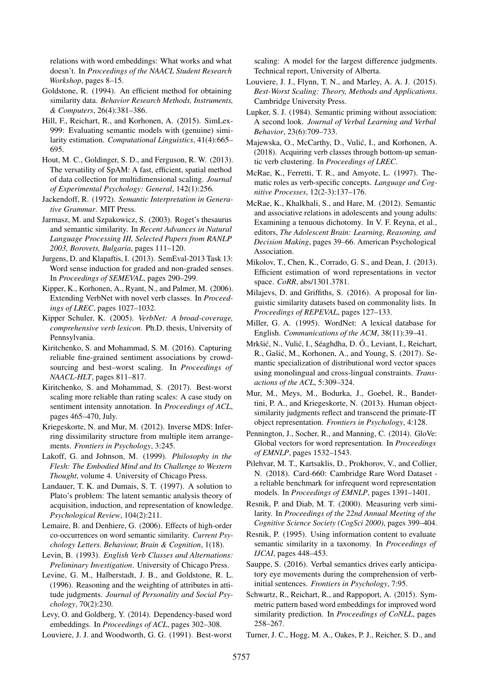relations with word embeddings: What works and what doesn't. In *Proceedings of the NAACL Student Research Workshop*, pages 8–15.

- <span id="page-8-26"></span>Goldstone, R. (1994). An efficient method for obtaining similarity data. *Behavior Research Methods, Instruments, & Computers*, 26(4):381–386.
- <span id="page-8-7"></span>Hill, F., Reichart, R., and Korhonen, A. (2015). SimLex-999: Evaluating semantic models with (genuine) similarity estimation. *Computational Linguistics*, 41(4):665– 695.
- <span id="page-8-28"></span>Hout, M. C., Goldinger, S. D., and Ferguson, R. W. (2013). The versatility of SpAM: A fast, efficient, spatial method of data collection for multidimensional scaling. *Journal of Experimental Psychology: General*, 142(1):256.
- <span id="page-8-0"></span>Jackendoff, R. (1972). *Semantic Interpretation in Generative Grammar*. MIT Press.
- <span id="page-8-24"></span>Jarmasz, M. and Szpakowicz, S. (2003). Roget's thesaurus and semantic similarity. In *Recent Advances in Natural Language Processing III, Selected Papers from RANLP 2003, Borovets, Bulgaria*, pages 111–120.
- <span id="page-8-32"></span>Jurgens, D. and Klapaftis, I. (2013). SemEval-2013 Task 13: Word sense induction for graded and non-graded senses. In *Proceedings of SEMEVAL*, pages 290–299.
- <span id="page-8-6"></span>Kipper, K., Korhonen, A., Ryant, N., and Palmer, M. (2006). Extending VerbNet with novel verb classes. In *Proceedings of LREC*, pages 1027–1032.
- <span id="page-8-5"></span>Kipper Schuler, K. (2005). *VerbNet: A broad-coverage, comprehensive verb lexicon*. Ph.D. thesis, University of Pennsylvania.
- <span id="page-8-21"></span>Kiritchenko, S. and Mohammad, S. M. (2016). Capturing reliable fine-grained sentiment associations by crowdsourcing and best–worst scaling. In *Proceedings of NAACL-HLT*, pages 811–817.
- <span id="page-8-22"></span>Kiritchenko, S. and Mohammad, S. (2017). Best-worst scaling more reliable than rating scales: A case study on sentiment intensity annotation. In *Proceedings of ACL*, pages 465–470, July.
- <span id="page-8-8"></span>Kriegeskorte, N. and Mur, M. (2012). Inverse MDS: Inferring dissimilarity structure from multiple item arrangements. *Frontiers in Psychology*, 3:245.
- <span id="page-8-29"></span>Lakoff, G. and Johnson, M. (1999). *Philosophy in the Flesh: The Embodied Mind and Its Challenge to Western Thought*, volume 4. University of Chicago Press.
- <span id="page-8-23"></span>Landauer, T. K. and Dumais, S. T. (1997). A solution to Plato's problem: The latent semantic analysis theory of acquisition, induction, and representation of knowledge. *Psychological Review*, 104(2):211.
- <span id="page-8-15"></span>Lemaire, B. and Denhiere, G. (2006). Effects of high-order co-occurrences on word semantic similarity. *Current Psychology Letters. Behaviour, Brain & Cognition*, 1(18).
- <span id="page-8-1"></span>Levin, B. (1993). *English Verb Classes and Alternations: Preliminary Investigation*. University of Chicago Press.
- <span id="page-8-27"></span>Levine, G. M., Halberstadt, J. B., and Goldstone, R. L. (1996). Reasoning and the weighting of attributes in attitude judgments. *Journal of Personality and Social Psychology*, 70(2):230.
- <span id="page-8-11"></span>Levy, O. and Goldberg, Y. (2014). Dependency-based word embeddings. In *Proceedings of ACL*, pages 302–308.

<span id="page-8-19"></span>Louviere, J. J. and Woodworth, G. G. (1991). Best-worst

scaling: A model for the largest difference judgments. Technical report, University of Alberta.

- <span id="page-8-20"></span>Louviere, J. J., Flynn, T. N., and Marley, A. A. J. (2015). *Best-Worst Scaling: Theory, Methods and Applications*. Cambridge University Press.
- <span id="page-8-17"></span>Lupker, S. J. (1984). Semantic priming without association: A second look. *Journal of Verbal Learning and Verbal Behavior*, 23(6):709–733.
- <span id="page-8-33"></span>Majewska, O., McCarthy, D., Vulic, I., and Korhonen, A. ´ (2018). Acquiring verb classes through bottom-up semantic verb clustering. In *Proceedings of LREC*.
- <span id="page-8-2"></span>McRae, K., Ferretti, T. R., and Amyote, L. (1997). Thematic roles as verb-specific concepts. *Language and Cognitive Processes*, 12(2-3):137–176.
- <span id="page-8-16"></span>McRae, K., Khalkhali, S., and Hare, M. (2012). Semantic and associative relations in adolescents and young adults: Examining a tenuous dichotomy. In V. F. Reyna, et al., editors, *The Adolescent Brain: Learning, Reasoning, and Decision Making*, pages 39–66. American Psychological Association.
- <span id="page-8-25"></span>Mikolov, T., Chen, K., Corrado, G. S., and Dean, J. (2013). Efficient estimation of word representations in vector space. *CoRR*, abs/1301.3781.
- <span id="page-8-31"></span>Milajevs, D. and Griffiths, S. (2016). A proposal for linguistic similarity datasets based on commonality lists. In *Proceedings of REPEVAL*, pages 127–133.
- <span id="page-8-10"></span>Miller, G. A. (1995). WordNet: A lexical database for English. *Communications of the ACM*, 38(11):39–41.
- <span id="page-8-14"></span>Mrkšić, N., Vulić, I., Séaghdha, D. Ó., Leviant, I., Reichart, R., Gašić, M., Korhonen, A., and Young, S. (2017). Semantic specialization of distributional word vector spaces using monolingual and cross-lingual constraints. *Transactions of the ACL*, 5:309–324.
- <span id="page-8-9"></span>Mur, M., Meys, M., Bodurka, J., Goebel, R., Bandettini, P. A., and Kriegeskorte, N. (2013). Human objectsimilarity judgments reflect and transcend the primate-IT object representation. *Frontiers in Psychology*, 4:128.
- <span id="page-8-12"></span>Pennington, J., Socher, R., and Manning, C. (2014). GloVe: Global vectors for word representation. In *Proceedings of EMNLP*, pages 1532–1543.
- <span id="page-8-34"></span>Pilehvar, M. T., Kartsaklis, D., Prokhorov, V., and Collier, N. (2018). Card-660: Cambridge Rare Word Dataset a reliable benchmark for infrequent word representation models. In *Proceedings of EMNLP*, pages 1391–1401.
- <span id="page-8-3"></span>Resnik, P. and Diab, M. T. (2000). Measuring verb similarity. In *Proceedings of the 22nd Annual Meeting of the Cognitive Science Society (CogSci 2000)*, pages 399–404.
- <span id="page-8-18"></span>Resnik, P. (1995). Using information content to evaluate semantic similarity in a taxonomy. In *Proceedings of IJCAI*, pages 448–453.
- <span id="page-8-4"></span>Sauppe, S. (2016). Verbal semantics drives early anticipatory eye movements during the comprehension of verbinitial sentences. *Frontiers in Psychology*, 7:95.
- <span id="page-8-13"></span>Schwartz, R., Reichart, R., and Rappoport, A. (2015). Symmetric pattern based word embeddings for improved word similarity prediction. In *Proceedings of CoNLL*, pages 258–267.
- <span id="page-8-30"></span>Turner, J. C., Hogg, M. A., Oakes, P. J., Reicher, S. D., and